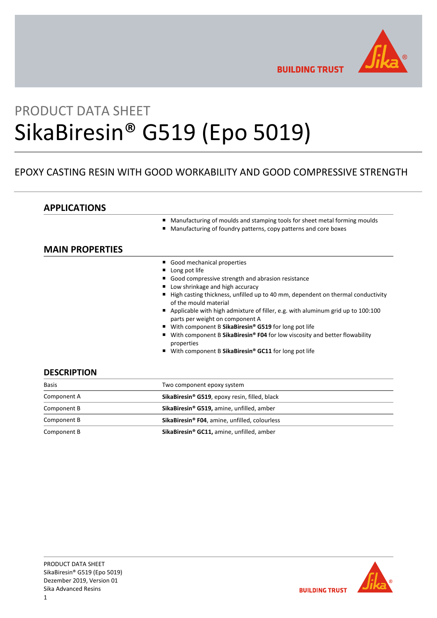

**BUILDING TRUST** 

# PRODUCT DATA SHEET SikaBiresin® G519 (Epo 5019)

# EPOXY CASTING RESIN WITH GOOD WORKABILITY AND GOOD COMPRESSIVE STRENGTH

# **APPLICATIONS**

- Manufacturing of moulds and stamping tools for sheet metal forming moulds
- Manufacturing of foundry patterns, copy patterns and core boxes

# **MAIN PROPERTIES**

- Good mechanical properties
- **Long pot life**
- Good compressive strength and abrasion resistance
- Low shrinkage and high accuracy
- High casting thickness, unfilled up to 40 mm, dependent on thermal conductivity of the mould material
- Applicable with high admixture of filler, e.g. with aluminum grid up to 100:100 parts per weight on component A
- With component B SikaBiresin<sup>®</sup> G519 for long pot life
- With component B SikaBiresin<sup>®</sup> **F04** for low viscosity and better flowability properties
- With component B SikaBiresin<sup>®</sup> GC11 for long pot life

## **DESCRIPTION**

| <b>Basis</b> | Two component epoxy system                                |  |  |
|--------------|-----------------------------------------------------------|--|--|
| Component A  | SikaBiresin <sup>®</sup> G519, epoxy resin, filled, black |  |  |
| Component B  | SikaBiresin® G519, amine, unfilled, amber                 |  |  |
| Component B  | SikaBiresin <sup>®</sup> F04, amine, unfilled, colourless |  |  |
| Component B  | SikaBiresin <sup>®</sup> GC11, amine, unfilled, amber     |  |  |

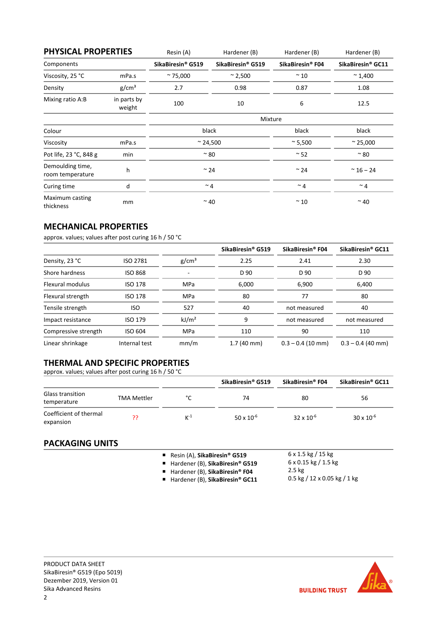| <b>PHYSICAL PROPERTIES</b>           |                       | Resin (A)         | Hardener (B)                  | Hardener (B)                 | Hardener (B)       |
|--------------------------------------|-----------------------|-------------------|-------------------------------|------------------------------|--------------------|
| Components                           |                       | SikaBiresin® G519 | SikaBiresin <sup>®</sup> G519 | SikaBiresin <sup>®</sup> F04 | SikaBiresin® GC11  |
| Viscosity, 25 °C                     | mPa.s                 | $~^{\sim}$ 75,000 | $^{\sim}$ 2,500               | $\sim$ 10                    | $~^{\sim}$ 1,400   |
| Density                              | g/cm <sup>3</sup>     | 2.7               | 0.98                          | 0.87                         | 1.08               |
| Mixing ratio A:B                     | in parts by<br>weight | 100               | 10                            | 6                            | 12.5               |
|                                      |                       | Mixture           |                               |                              |                    |
| Colour                               |                       | black             |                               | black                        | black              |
| Viscosity                            | mPa.s                 | $~^{\sim}$ 24,500 |                               | $\approx$ 5,500              | $~^{\sim}$ 25,000  |
| Pot life, 23 °C, 848 g               | min                   | $~^{\sim}$ 80     |                               | $~^{\sim}$ 52                | $~^{\sim}$ 80      |
| Demoulding time,<br>room temperature | h                     | $~^{\sim}$ 24     |                               | $~^{\sim}$ 24                | $~^{\sim}$ 16 - 24 |
| Curing time                          | d                     | $~^{\sim}$ 4      |                               | $~^{\sim}$ 4                 | $~^{\sim}$ 4       |
| Maximum casting<br>thickness         | mm                    | $~^{\sim}$ 40     |                               | $~^{\sim}$ 10                | $~^{\sim}$ 40      |

# **MECHANICAL PROPERTIES**

approx. values; values after post curing 16 h / 50 °C

|                      |                 |                   | SikaBiresin® G519    | SikaBiresin <sup>®</sup> F04 | SikaBiresin <sup>®</sup> GC11 |
|----------------------|-----------------|-------------------|----------------------|------------------------------|-------------------------------|
| Density, 23 °C       | <b>ISO 2781</b> | g/cm <sup>3</sup> | 2.25                 | 2.41                         | 2.30                          |
| Shore hardness       | <b>ISO 868</b>  | ٠                 | D 90                 | D 90                         | D 90                          |
| Flexural modulus     | <b>ISO 178</b>  | <b>MPa</b>        | 6,000                | 6,900                        | 6,400                         |
| Flexural strength    | <b>ISO 178</b>  | <b>MPa</b>        | 80                   | 77                           | 80                            |
| Tensile strength     | <b>ISO</b>      | 527               | 40                   | not measured                 | 40                            |
| Impact resistance    | <b>ISO 179</b>  | kJ/m <sup>2</sup> | 9                    | not measured                 | not measured                  |
| Compressive strength | <b>ISO 604</b>  | <b>MPa</b>        | 110                  | 90                           | 110                           |
| Linear shrinkage     | Internal test   | mm/m              | $1.7(40 \text{ mm})$ | $0.3 - 0.4$ (10 mm)          | $0.3 - 0.4$ (40 mm)           |

# **THERMAL AND SPECIFIC PROPERTIES**

approx. values; values after post curing 16 h / 50 °C

|                                     |                    |          | SikaBiresin <sup>®</sup> G519 | SikaBiresin® F04    | SikaBiresin <sup>®</sup> GC11 |
|-------------------------------------|--------------------|----------|-------------------------------|---------------------|-------------------------------|
| Glass transition<br>temperature     | <b>TMA Mettler</b> | °∩°      | 74                            | 80                  | 56                            |
| Coefficient of thermal<br>expansion | วว                 | $K^{-1}$ | $50 \times 10^{-6}$           | $32 \times 10^{-6}$ | $30 \times 10^{-6}$           |

# **PACKAGING UNITS**

- Resin (A), **SikaBiresin® G519**
- Hardener (B), **SikaBiresin<sup>®</sup> G519**
- Hardener (B), **SikaBiresin<sup>®</sup> F04**
- Hardener (B), SikaBiresin<sup>®</sup> GC11
- $6 \times 1.5$  kg / 15 kg 6 x 0.15 kg / 1.5 kg 2.5 kg
- 0.5 kg / 12 x 0.05 kg / 1 kg

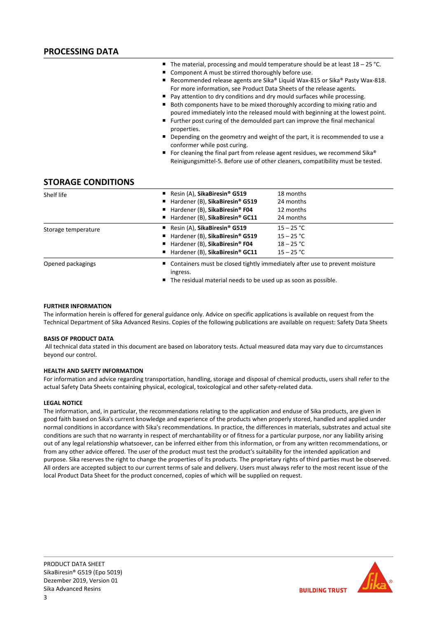- The material, processing and mould temperature should be at least 18 25 °C.
- Component A must be stirred thoroughly before use.
- Recommended release agents are Sika® Liquid Wax-815 or Sika® Pasty Wax-818. For more information, see Product Data Sheets of the release agents.
- Pay attention to dry conditions and dry mould surfaces while processing.
- Both components have to be mixed thoroughly according to mixing ratio and poured immediately into the released mould with beginning at the lowest point.
- Further post curing of the demoulded part can improve the final mechanical properties.
- Depending on the geometry and weight of the part, it is recommended to use a conformer while post curing.
- For cleaning the final part from release agent residues, we recommend Sika® Reinigungsmittel‐5. Before use of other cleaners, compatibility must be tested.

## **STORAGE CONDITIONS**

| Shelf life          | Resin (A), SikaBiresin <sup>®</sup> G519<br>■ Hardener (B), SikaBiresin® G519<br>■ Hardener (B), SikaBiresin® F04                                      | 18 months<br>24 months<br>12 months                                                                                                               |  |  |
|---------------------|--------------------------------------------------------------------------------------------------------------------------------------------------------|---------------------------------------------------------------------------------------------------------------------------------------------------|--|--|
|                     | ■ Hardener (B), SikaBiresin® GC11                                                                                                                      | 24 months                                                                                                                                         |  |  |
| Storage temperature | Resin (A), SikaBiresin <sup>®</sup> G519<br>■ Hardener (B), SikaBiresin® G519<br>■ Hardener (B), SikaBiresin® F04<br>■ Hardener (B), SikaBiresin® GC11 | $15 - 25 °C$<br>$15 - 25 °C$<br>$18 - 25 °C$<br>$15 - 25 °C$                                                                                      |  |  |
| Opened packagings   | ingress.                                                                                                                                               | ■ Containers must be closed tightly immediately after use to prevent moisture<br>■ The residual material needs to be used up as soon as possible. |  |  |

## **FURTHER INFORMATION**

The information herein is offered for general guidance only. Advice on specific applications is available on request from the Technical Department of Sika Advanced Resins. Copies of the following publications are available on request: Safety Data Sheets

## **BASIS OF PRODUCT DATA**

All technical data stated in this document are based on laboratory tests. Actual measured data may vary due to circumstances beyond our control.

## **HEALTH AND SAFETY INFORMATION**

For information and advice regarding transportation, handling, storage and disposal of chemical products, users shall refer to the actual Safety Data Sheets containing physical, ecological, toxicological and other safety‐related data.

## **LEGAL NOTICE**

The information, and, in particular, the recommendations relating to the application and enduse of Sika products, are given in good faith based on Sika's current knowledge and experience of the products when properly stored, handled and applied under normal conditions in accordance with Sika's recommendations. In practice, the differences in materials, substrates and actual site conditions are such that no warranty in respect of merchantability or of fitness for a particular purpose, nor any liability arising out of any legal relationship whatsoever, can be inferred either from this information, or from any written recommendations, or from any other advice offered. The user of the product must test the product's suitability for the intended application and purpose. Sika reserves the right to change the properties of its products. The proprietary rights of third parties must be observed. All orders are accepted subject to our current terms of sale and delivery. Users must always refer to the most recent issue of the local Product Data Sheet for the product concerned, copies of which will be supplied on request.